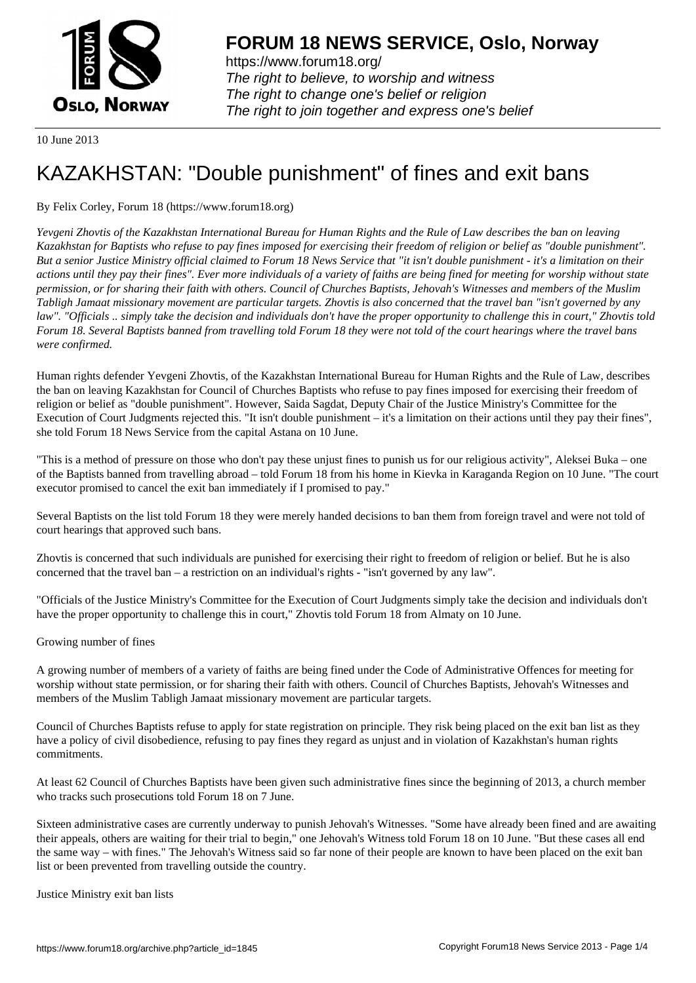

https://www.forum18.org/ The right to believe, to worship and witness The right to change one's belief or religion [The right to join together a](https://www.forum18.org/)nd express one's belief

10 June 2013

## [KAZAKHSTAN:](https://www.forum18.org) "Double punishment" of fines and exit bans

By Felix Corley, Forum 18 (https://www.forum18.org)

*Yevgeni Zhovtis of the Kazakhstan International Bureau for Human Rights and the Rule of Law describes the ban on leaving Kazakhstan for Baptists who refuse to pay fines imposed for exercising their freedom of religion or belief as "double punishment". But a senior Justice Ministry official claimed to Forum 18 News Service that "it isn't double punishment - it's a limitation on their actions until they pay their fines". Ever more individuals of a variety of faiths are being fined for meeting for worship without state permission, or for sharing their faith with others. Council of Churches Baptists, Jehovah's Witnesses and members of the Muslim Tabligh Jamaat missionary movement are particular targets. Zhovtis is also concerned that the travel ban "isn't governed by any law". "Officials .. simply take the decision and individuals don't have the proper opportunity to challenge this in court," Zhovtis told Forum 18. Several Baptists banned from travelling told Forum 18 they were not told of the court hearings where the travel bans were confirmed.*

Human rights defender Yevgeni Zhovtis, of the Kazakhstan International Bureau for Human Rights and the Rule of Law, describes the ban on leaving Kazakhstan for Council of Churches Baptists who refuse to pay fines imposed for exercising their freedom of religion or belief as "double punishment". However, Saida Sagdat, Deputy Chair of the Justice Ministry's Committee for the Execution of Court Judgments rejected this. "It isn't double punishment – it's a limitation on their actions until they pay their fines", she told Forum 18 News Service from the capital Astana on 10 June.

"This is a method of pressure on those who don't pay these unjust fines to punish us for our religious activity", Aleksei Buka – one of the Baptists banned from travelling abroad – told Forum 18 from his home in Kievka in Karaganda Region on 10 June. "The court executor promised to cancel the exit ban immediately if I promised to pay."

Several Baptists on the list told Forum 18 they were merely handed decisions to ban them from foreign travel and were not told of court hearings that approved such bans.

Zhovtis is concerned that such individuals are punished for exercising their right to freedom of religion or belief. But he is also concerned that the travel ban – a restriction on an individual's rights - "isn't governed by any law".

"Officials of the Justice Ministry's Committee for the Execution of Court Judgments simply take the decision and individuals don't have the proper opportunity to challenge this in court," Zhovtis told Forum 18 from Almaty on 10 June.

Growing number of fines

A growing number of members of a variety of faiths are being fined under the Code of Administrative Offences for meeting for worship without state permission, or for sharing their faith with others. Council of Churches Baptists, Jehovah's Witnesses and members of the Muslim Tabligh Jamaat missionary movement are particular targets.

Council of Churches Baptists refuse to apply for state registration on principle. They risk being placed on the exit ban list as they have a policy of civil disobedience, refusing to pay fines they regard as unjust and in violation of Kazakhstan's human rights commitments.

At least 62 Council of Churches Baptists have been given such administrative fines since the beginning of 2013, a church member who tracks such prosecutions told Forum 18 on 7 June.

Sixteen administrative cases are currently underway to punish Jehovah's Witnesses. "Some have already been fined and are awaiting their appeals, others are waiting for their trial to begin," one Jehovah's Witness told Forum 18 on 10 June. "But these cases all end the same way – with fines." The Jehovah's Witness said so far none of their people are known to have been placed on the exit ban list or been prevented from travelling outside the country.

Justice Ministry exit ban lists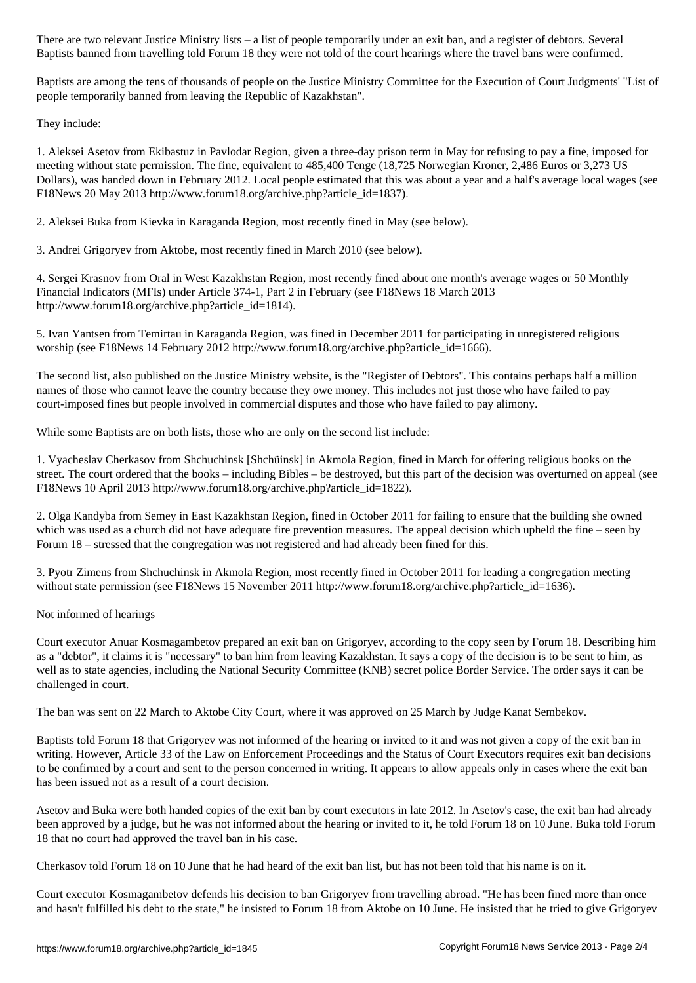Baptists banned from travelling told Forum 18 they were not told of the court hearings where the travel bans were confirmed.

Baptists are among the tens of thousands of people on the Justice Ministry Committee for the Execution of Court Judgments' "List of people temporarily banned from leaving the Republic of Kazakhstan".

They include:

1. Aleksei Asetov from Ekibastuz in Pavlodar Region, given a three-day prison term in May for refusing to pay a fine, imposed for meeting without state permission. The fine, equivalent to 485,400 Tenge (18,725 Norwegian Kroner, 2,486 Euros or 3,273 US Dollars), was handed down in February 2012. Local people estimated that this was about a year and a half's average local wages (see F18News 20 May 2013 http://www.forum18.org/archive.php?article\_id=1837).

2. Aleksei Buka from Kievka in Karaganda Region, most recently fined in May (see below).

3. Andrei Grigoryev from Aktobe, most recently fined in March 2010 (see below).

4. Sergei Krasnov from Oral in West Kazakhstan Region, most recently fined about one month's average wages or 50 Monthly Financial Indicators (MFIs) under Article 374-1, Part 2 in February (see F18News 18 March 2013 http://www.forum18.org/archive.php?article\_id=1814).

5. Ivan Yantsen from Temirtau in Karaganda Region, was fined in December 2011 for participating in unregistered religious worship (see F18News 14 February 2012 http://www.forum18.org/archive.php?article\_id=1666).

The second list, also published on the Justice Ministry website, is the "Register of Debtors". This contains perhaps half a million names of those who cannot leave the country because they owe money. This includes not just those who have failed to pay court-imposed fines but people involved in commercial disputes and those who have failed to pay alimony.

While some Baptists are on both lists, those who are only on the second list include:

1. Vyacheslav Cherkasov from Shchuchinsk [Shchüinsk] in Akmola Region, fined in March for offering religious books on the street. The court ordered that the books – including Bibles – be destroyed, but this part of the decision was overturned on appeal (see F18News 10 April 2013 http://www.forum18.org/archive.php?article\_id=1822).

2. Olga Kandyba from Semey in East Kazakhstan Region, fined in October 2011 for failing to ensure that the building she owned which was used as a church did not have adequate fire prevention measures. The appeal decision which upheld the fine – seen by Forum 18 – stressed that the congregation was not registered and had already been fined for this.

3. Pyotr Zimens from Shchuchinsk in Akmola Region, most recently fined in October 2011 for leading a congregation meeting without state permission (see F18News 15 November 2011 http://www.forum18.org/archive.php?article\_id=1636).

Not informed of hearings

Court executor Anuar Kosmagambetov prepared an exit ban on Grigoryev, according to the copy seen by Forum 18. Describing him as a "debtor", it claims it is "necessary" to ban him from leaving Kazakhstan. It says a copy of the decision is to be sent to him, as well as to state agencies, including the National Security Committee (KNB) secret police Border Service. The order says it can be challenged in court.

The ban was sent on 22 March to Aktobe City Court, where it was approved on 25 March by Judge Kanat Sembekov.

Baptists told Forum 18 that Grigoryev was not informed of the hearing or invited to it and was not given a copy of the exit ban in writing. However, Article 33 of the Law on Enforcement Proceedings and the Status of Court Executors requires exit ban decisions to be confirmed by a court and sent to the person concerned in writing. It appears to allow appeals only in cases where the exit ban has been issued not as a result of a court decision.

Asetov and Buka were both handed copies of the exit ban by court executors in late 2012. In Asetov's case, the exit ban had already been approved by a judge, but he was not informed about the hearing or invited to it, he told Forum 18 on 10 June. Buka told Forum 18 that no court had approved the travel ban in his case.

Cherkasov told Forum 18 on 10 June that he had heard of the exit ban list, but has not been told that his name is on it.

Court executor Kosmagambetov defends his decision to ban Grigoryev from travelling abroad. "He has been fined more than once and hasn't fulfilled his debt to the state," he insisted to Forum 18 from Aktobe on 10 June. He insisted that he tried to give Grigoryev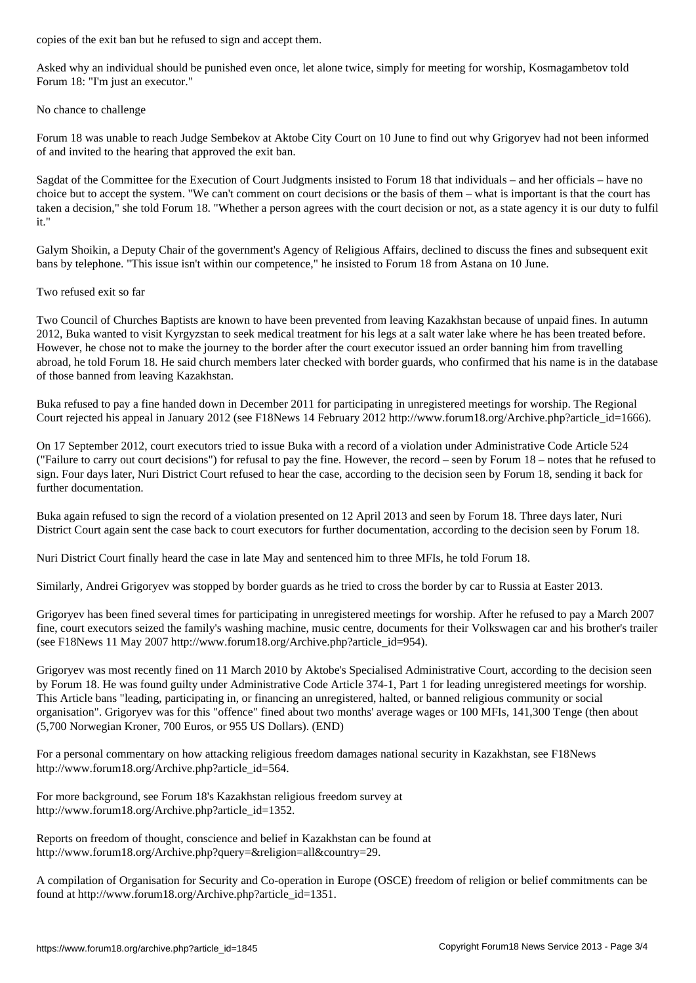Asked why an individual should be punished even once, let alone twice, simply for meeting for worship, Kosmagambetov told Forum 18: "I'm just an executor."

## No chance to challenge

Forum 18 was unable to reach Judge Sembekov at Aktobe City Court on 10 June to find out why Grigoryev had not been informed of and invited to the hearing that approved the exit ban.

Sagdat of the Committee for the Execution of Court Judgments insisted to Forum 18 that individuals – and her officials – have no choice but to accept the system. "We can't comment on court decisions or the basis of them – what is important is that the court has taken a decision," she told Forum 18. "Whether a person agrees with the court decision or not, as a state agency it is our duty to fulfil it."

Galym Shoikin, a Deputy Chair of the government's Agency of Religious Affairs, declined to discuss the fines and subsequent exit bans by telephone. "This issue isn't within our competence," he insisted to Forum 18 from Astana on 10 June.

## Two refused exit so far

Two Council of Churches Baptists are known to have been prevented from leaving Kazakhstan because of unpaid fines. In autumn 2012, Buka wanted to visit Kyrgyzstan to seek medical treatment for his legs at a salt water lake where he has been treated before. However, he chose not to make the journey to the border after the court executor issued an order banning him from travelling abroad, he told Forum 18. He said church members later checked with border guards, who confirmed that his name is in the database of those banned from leaving Kazakhstan.

Buka refused to pay a fine handed down in December 2011 for participating in unregistered meetings for worship. The Regional Court rejected his appeal in January 2012 (see F18News 14 February 2012 http://www.forum18.org/Archive.php?article\_id=1666).

On 17 September 2012, court executors tried to issue Buka with a record of a violation under Administrative Code Article 524 ("Failure to carry out court decisions") for refusal to pay the fine. However, the record – seen by Forum 18 – notes that he refused to sign. Four days later, Nuri District Court refused to hear the case, according to the decision seen by Forum 18, sending it back for further documentation.

Buka again refused to sign the record of a violation presented on 12 April 2013 and seen by Forum 18. Three days later, Nuri District Court again sent the case back to court executors for further documentation, according to the decision seen by Forum 18.

Nuri District Court finally heard the case in late May and sentenced him to three MFIs, he told Forum 18.

Similarly, Andrei Grigoryev was stopped by border guards as he tried to cross the border by car to Russia at Easter 2013.

Grigoryev has been fined several times for participating in unregistered meetings for worship. After he refused to pay a March 2007 fine, court executors seized the family's washing machine, music centre, documents for their Volkswagen car and his brother's trailer (see F18News 11 May 2007 http://www.forum18.org/Archive.php?article\_id=954).

Grigoryev was most recently fined on 11 March 2010 by Aktobe's Specialised Administrative Court, according to the decision seen by Forum 18. He was found guilty under Administrative Code Article 374-1, Part 1 for leading unregistered meetings for worship. This Article bans "leading, participating in, or financing an unregistered, halted, or banned religious community or social organisation". Grigoryev was for this "offence" fined about two months' average wages or 100 MFIs, 141,300 Tenge (then about (5,700 Norwegian Kroner, 700 Euros, or 955 US Dollars). (END)

For a personal commentary on how attacking religious freedom damages national security in Kazakhstan, see F18News http://www.forum18.org/Archive.php?article\_id=564.

For more background, see Forum 18's Kazakhstan religious freedom survey at http://www.forum18.org/Archive.php?article\_id=1352.

Reports on freedom of thought, conscience and belief in Kazakhstan can be found at http://www.forum18.org/Archive.php?query=&religion=all&country=29.

A compilation of Organisation for Security and Co-operation in Europe (OSCE) freedom of religion or belief commitments can be found at http://www.forum18.org/Archive.php?article\_id=1351.